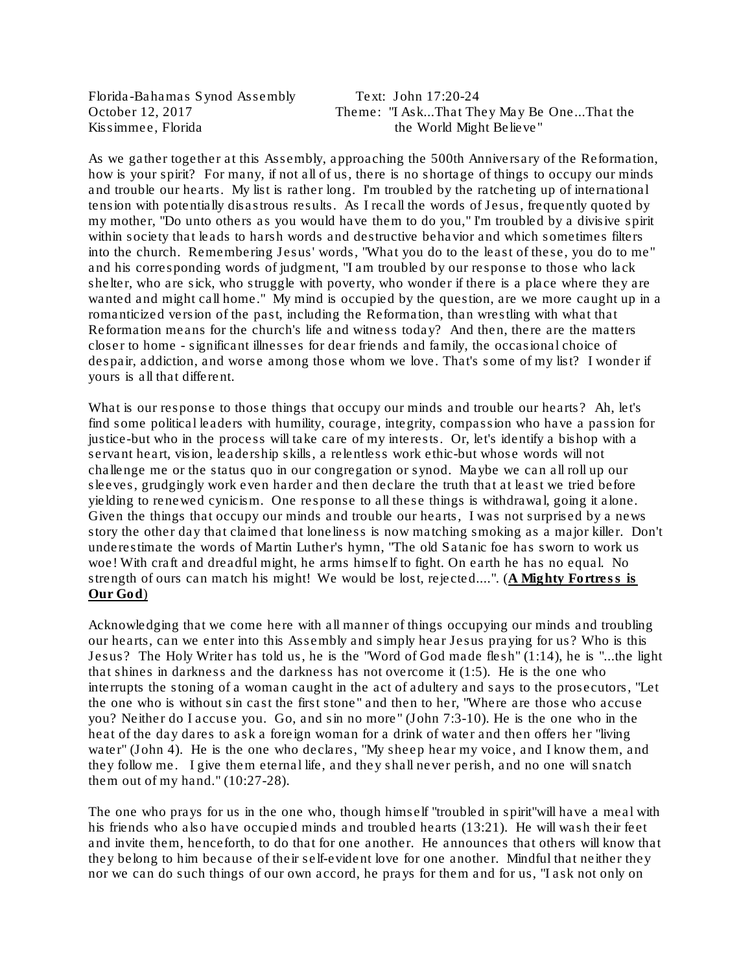Florida-Bahamas Synod Assembly Text: John 17:20-24

October 12, 2017 Theme: "I Ask...That They May Be One...That the Kissimmee, Florida the World Might Believe"

As we gather together at this Assembly, approaching the 500th Anniversary of the Reformation, how is your spirit? For many, if not all of us, there is no shortage of things to occupy our minds and trouble our hearts. My list is rather long. I'm troubled by the ratcheting up of international tension with potentially disastrous results. As I recall the words of Jesus, frequently quoted by my mother, "Do unto others as you would have them to do you," I'm troubled by a divisive spirit within society that leads to harsh words and destructive behavior and which sometimes filters into the church. Remembering Jesus' words, "What you do to the least of these, you do to me" and his corresponding words of judgment, "I am troubled by our response to those who lack shelter, who are sick, who struggle with poverty, who wonder if there is a place where they are wanted and might call home." My mind is occupied by the question, are we more caught up in a romanticized version of the past, including the Reformation, than wrestling with what that Reformation means for the church's life and witness today? And then, there are the matters closer to home - significant illnesses for dear friends and family, the occasional choice of despair, addiction, and worse among those whom we love. That's some of my list? I wonder if yours is all that different.

What is our response to those things that occupy our minds and trouble our hearts? Ah, let's find some political leaders with humility, courage, integrity, compassion who have a passion for justice-but who in the process will take care of my interests. Or, let's identify a bishop with a servant heart, vision, leadership skills, a relentless work ethic-but whose words will not challenge me or the status quo in our congregation or synod. Maybe we can all roll up our sleeves, grudgingly work even harder and then declare the truth that at least we tried before yielding to renewed cynicism. One response to all these things is withdrawal, going it alone. Given the things that occupy our minds and trouble our hearts, I was not surprised by a news story the other day that claimed that loneliness is now matching smoking as a major killer. Don't underestimate the words of Martin Luther's hymn, "The old Satanic foe has sworn to work us woe! With craft and dreadful might, he arms himself to fight. On earth he has no equal. No strength of ours can match his might! We would be lost, rejected....". (A Mighty Fortress is Our God)

Acknowledging that we come here with all manner of things occupying our minds and troubling our hearts, can we enter into this Assembly and simply hear Jesus praying for us? Who is this Jesus? The Holy Writer has told us, he is the "Word of God made flesh" (1:14), he is "...the light that shines in darkness and the darkness has not overcome it  $(1:5)$ . He is the one who interrupts the stoning of a woman caught in the act of adultery and says to the prosecutors, "Let the one who is without sin cast the first stone" and then to her, "Where are those who accuse you? Neither do I accuse you. Go, and sin no more" (John 7:3-10). He is the one who in the heat of the day dares to ask a foreign woman for a drink of water and then offers her "living water" (John 4). He is the one who declares, "My sheep hear my voice, and I know them, and they follow me. I give them eternal life, and they shall never perish, and no one will snatch them out of my hand." (10:27-28).

The one who prays for us in the one who, though himself "troubled in spirit"will have a meal with his friends who also have occupied minds and troubled hearts (13:21). He will wash their feet and invite them, henceforth, to do that for one another. He announces that others will know that they belong to him because of their self-evident love for one another. Mindful that neither they nor we can do such things of our own accord, he prays for them and for us, "I ask not only on